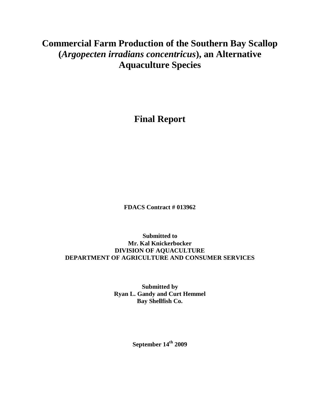# **Commercial Farm Production of the Southern Bay Scallop (***Argopecten irradians concentricus***), an Alternative Aquaculture Species**

**Final Report** 

**FDACS Contract # 013962**

**Submitted to Mr. Kal Knickerbocker DIVISION OF AQUACULTURE DEPARTMENT OF AGRICULTURE AND CONSUMER SERVICES**

> **Submitted by Ryan L. Gandy and Curt Hemmel Bay Shellfish Co.**

> > **September 14 th 2009**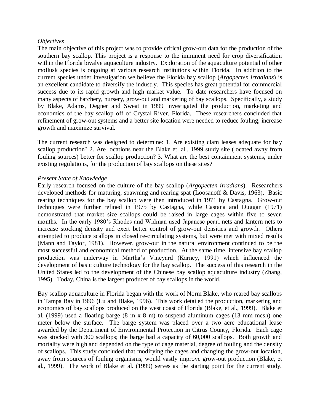#### *Objectives*

The main objective of this project was to provide critical grow-out data for the production of the southern bay scallop. This project is a response to the imminent need for crop diversification within the Florida bivalve aquaculture industry. Exploration of the aquaculture potential of other mollusk species is ongoing at various research institutions within Florida. In addition to the current species under investigation we believe the Florida bay scallop (*Argopecten irradians*) is an excellent candidate to diversify the industry. This species has great potential for commercial success due to its rapid growth and high market value. To date researchers have focused on many aspects of hatchery, nursery, grow-out and marketing of bay scallops. Specifically, a study by Blake, Adams, Degner and Sweat in 1999 investigated the production, marketing and economics of the bay scallop off of Crystal River, Florida. These researchers concluded that refinement of grow-out systems and a better site location were needed to reduce fouling, increase growth and maximize survival.

The current research was designed to determine: 1. Are existing clam leases adequate for bay scallop production? 2. Are locations near the Blake et. al., 1999 study site (located away from fouling sources) better for scallop production? 3. What are the best containment systems, under existing regulations, for the production of bay scallops on these sites?

#### *Present State of Knowledge*

Early research focused on the culture of the bay scallop (*Argopecten irradians*). Researchers developed methods for maturing, spawning and rearing spat (Loosanoff & Davis, 1963). Basic rearing techniques for the bay scallop were then introduced in 1971 by Castagna. Grow-out techniques were further refined in 1975 by Castagna, while Castana and Duggan (1971) demonstrated that market size scallops could be raised in large cages within five to seven months. In the early 1980"s Rhodes and Widman used Japanese pearl nets and lantern nets to increase stocking density and exert better control of grow-out densities and growth. Others attempted to produce scallops in closed re-circulating systems, but were met with mixed results (Mann and Taylor, 1981). However, grow-out in the natural environment continued to be the most successful and economical method of production. At the same time, intensive bay scallop production was underway in Martha"s Vineyard (Karney, 1991) which influenced the development of basic culture technology for the bay scallop. The success of this research in the United States led to the development of the Chinese bay scallop aquaculture industry (Zhang, 1995). Today, China is the largest producer of bay scallops in the world.

Bay scallop aquaculture in Florida began with the work of Norm Blake, who reared bay scallops in Tampa Bay in 1996 (Lu and Blake, 1996). This work detailed the production, marketing and economics of bay scallops produced on the west coast of Florida (Blake, et al., 1999). Blake et al. (1999) used a floating barge (8 m x 8 m) to suspend aluminum cages (13 mm mesh) one meter below the surface. The barge system was placed over a two acre educational lease awarded by the Department of Environmental Protection in Citrus County, Florida. Each cage was stocked with 300 scallops; the barge had a capacity of 60,000 scallops. Both growth and mortality were high and depended on the type of cage material, degree of fouling and the density of scallops. This study concluded that modifying the cages and changing the grow-out location, away from sources of fouling organisms, would vastly improve grow-out production (Blake, et al., 1999). The work of Blake et al. (1999) serves as the starting point for the current study.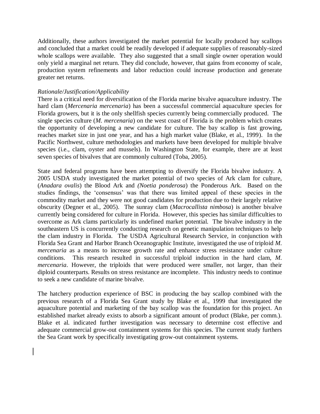Additionally, these authors investigated the market potential for locally produced bay scallops and concluded that a market could be readily developed if adequate supplies of reasonably-sized whole scallops were available. They also suggested that a small single owner operation would only yield a marginal net return. They did conclude, however, that gains from economy of scale, production system refinements and labor reduction could increase production and generate greater net returns.

#### *Rationale/Justification/Applicability*

There is a critical need for diversification of the Florida marine bivalve aquaculture industry. The hard clam (*Mercenaria mercenaria*) has been a successful commercial aquaculture species for Florida growers, but it is the only shellfish species currently being commercially produced. The single species culture (*M. mercenaria*) on the west coast of Florida is the problem which creates the opportunity of developing a new candidate for culture. The bay scallop is fast growing, reaches market size in just one year, and has a high market value (Blake, et al., 1999). In the Pacific Northwest, culture methodologies and markets have been developed for multiple bivalve species (i.e., clam, oyster and mussels). In Washington State, for example, there are at least seven species of bivalves that are commonly cultured (Toba, 2005).

State and federal programs have been attempting to diversify the Florida bivalve industry. A 2005 USDA study investigated the market potential of two species of Ark clam for culture, (*Anadara ovalis*) the Blood Ark and *(Noetia ponderosa*) the Ponderous Ark. Based on the studies findings, the "consensus" was that there was limited appeal of these species in the commodity market and they were not good candidates for production due to their largely relative obscurity (Degner et al., 2005). The sunray clam (*Macrocallista nimbosa*) is another bivalve currently being considered for culture in Florida. However, this species has similar difficulties to overcome as Ark clams particularly its undefined market potential. The bivalve industry in the southeastern US is concurrently conducting research on genetic manipulation techniques to help the clam industry in Florida. The USDA Agricultural Research Service, in conjunction with Florida Sea Grant and Harbor Branch Oceanographic Institute, investigated the use of triploid *M. mercenaria* as a means to increase growth rate and enhance stress resistance under culture conditions. This research resulted in successful triploid induction in the hard clam, *M. mercenaria*. However, the triploids that were produced were smaller, not larger, than their diploid counterparts. Results on stress resistance are incomplete. This industry needs to continue to seek a new candidate of marine bivalve.

The hatchery production experience of BSC in producing the bay scallop combined with the previous research of a Florida Sea Grant study by Blake et al., 1999 that investigated the aquaculture potential and marketing of the bay scallop was the foundation for this project. An established market already exists to absorb a significant amount of product (Blake, per comm.). Blake et al. indicated further investigation was necessary to determine cost effective and adequate commercial grow-out containment systems for this species. The current study furthers the Sea Grant work by specifically investigating grow-out containment systems.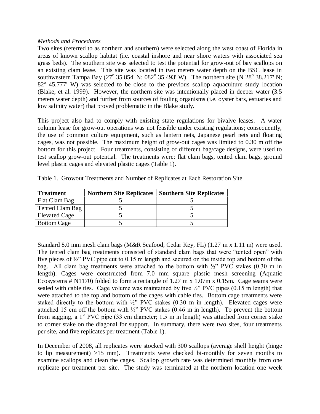#### *Methods and Procedures*

Two sites (referred to as northern and southern) were selected along the west coast of Florida in areas of known scallop habitat (i.e. coastal inshore and near shore waters with associated sea grass beds). The southern site was selected to test the potential for grow-out of bay scallops on an existing clam lease. This site was located in two meters water depth on the BSC lease in southwestern Tampa Bay (27° 35.854' N; 082° 35.493' W). The northern site (N 28° 38.217' N; 82<sup>o</sup> 45.777' W) was selected to be close to the previous scallop aquaculture study location (Blake, et al. 1999). However, the northern site was intentionally placed in deeper water (3.5 meters water depth) and further from sources of fouling organisms (i.e. oyster bars, estuaries and low salinity water) that proved problematic in the Blake study.

This project also had to comply with existing state regulations for bivalve leases. A water column lease for grow-out operations was not feasible under existing regulations; consequently, the use of common culture equipment, such as lantern nets, Japanese pearl nets and floating cages, was not possible. The maximum height of grow-out cages was limited to 0.30 m off the bottom for this project. Four treatments, consisting of different bag/cage designs, were used to test scallop grow-out potential. The treatments were: flat clam bags, tented clam bags, ground level plastic cages and elevated plastic cages (Table 1).

| Treatment            | <b>Northern Site Replicates</b> | <b>Southern Site Replicates</b> |
|----------------------|---------------------------------|---------------------------------|
| Flat Clam Bag        |                                 |                                 |
| Tented Clam Bag      |                                 |                                 |
| <b>Elevated Cage</b> |                                 |                                 |
| <b>Bottom Cage</b>   |                                 |                                 |

Table 1. Growout Treatments and Number of Replicates at Each Restoration Site

Standard 8.0 mm mesh clam bags (M&R Seafood, Cedar Key, FL) (1.27 m x 1.11 m) were used. The tented clam bag treatments consisted of standard clam bags that were "tented open" with five pieces of ½" PVC pipe cut to 0.15 m length and secured on the inside top and bottom of the bag. All clam bag treatments were attached to the bottom with  $\frac{1}{2}$ " PVC stakes (0.30 m in length). Cages were constructed from 7.0 mm square plastic mesh screening (Aquatic Ecosystems # N1170) folded to form a rectangle of 1.27 m x 1.07m x 0.15m. Cage seams were sealed with cable ties. Cage volume was maintained by five  $\frac{1}{2}$  PVC pipes (0.15 m length) that were attached to the top and bottom of the cages with cable ties. Bottom cage treatments were staked directly to the bottom with  $\frac{1}{2}$ " PVC stakes (0.30 m in length). Elevated cages were attached 15 cm off the bottom with  $\frac{1}{2}$ " PVC stakes (0.46 m in length). To prevent the bottom from sagging, a 1" PVC pipe (33 cm diameter; 1.5 m in length) was attached from corner stake to corner stake on the diagonal for support. In summary, there were two sites, four treatments per site, and five replicates per treatment (Table 1).

In December of 2008, all replicates were stocked with 300 scallops (average shell height (hinge to lip measurement) >15 mm). Treatments were checked bi-monthly for seven months to examine scallops and clean the cages. Scallop growth rate was determined monthly from one replicate per treatment per site. The study was terminated at the northern location one week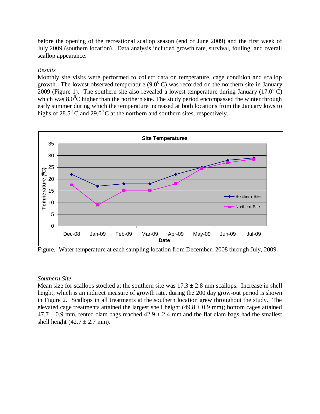before the opening of the recreational scallop season (end of June 2009) and the first week of July 2009 (southern location). Data analysis included growth rate, survival, fouling, and overall scallop appearance.

#### *Results*

Monthly site visits were performed to collect data on temperature, cage condition and scallop growth. The lowest observed temperature  $(9.0^0 \text{ C})$  was recorded on the northern site in January 2009 (Figure 1). The southern site also revealed a lowest temperature during January (17.0<sup>0</sup> C) which was  $8.0^{\circ}$ C higher than the northern site. The study period encompassed the winter through early summer during which the temperature increased at both locations from the January lows to highs of 28.5<sup>0</sup> C and 29.0<sup>0</sup> C at the northern and southern sites, respectively.



Figure. Water temperature at each sampling location from December, 2008 through July, 2009.

#### *Southern Site*

Mean size for scallops stocked at the southern site was  $17.3 \pm 2.8$  mm scallops. Increase in shell height, which is an indirect measure of growth rate, during the 200 day grow-out period is shown in Figure 2. Scallops in all treatments at the southern location grew throughout the study. The elevated cage treatments attained the largest shell height  $(49.8 \pm 0.9 \text{ mm})$ ; bottom cages attained  $47.7 \pm 0.9$  mm, tented clam bags reached  $42.9 \pm 2.4$  mm and the flat clam bags had the smallest shell height  $(42.7 \pm 2.7 \text{ mm})$ .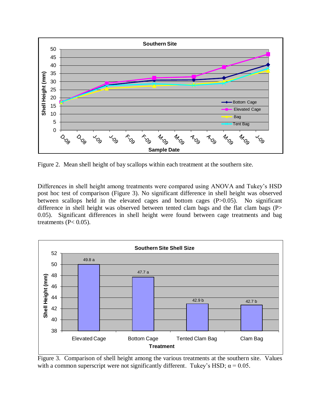

Figure 2. Mean shell height of bay scallops within each treatment at the southern site.

Differences in shell height among treatments were compared using ANOVA and Tukey"s HSD post hoc test of comparison (Figure 3). No significant difference in shell height was observed between scallops held in the elevated cages and bottom cages (P>0.05). No significant difference in shell height was observed between tented clam bags and the flat clam bags (P> 0.05). Significant differences in shell height were found between cage treatments and bag treatments ( $P < 0.05$ ).



Figure 3. Comparison of shell height among the various treatments at the southern site. Values with a common superscript were not significantly different. Tukey's HSD;  $\alpha = 0.05$ .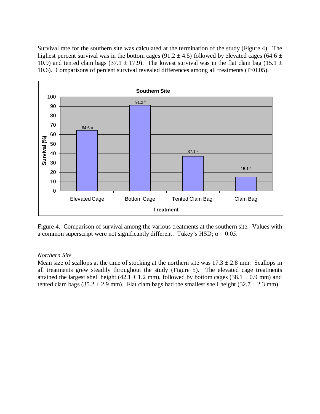Survival rate for the southern site was calculated at the termination of the study (Figure 4). The highest percent survival was in the bottom cages (91.2  $\pm$  4.5) followed by elevated cages (64.6  $\pm$ 10.9) and tented clam bags (37.1  $\pm$  17.9). The lowest survival was in the flat clam bag (15.1  $\pm$ 10.6). Comparisons of percent survival revealed differences among all treatments (P<0.05).



Figure 4. Comparison of survival among the various treatments at the southern site. Values with a common superscript were not significantly different. Tukey's HSD;  $\alpha = 0.05$ .

#### *Northern Site*

Mean size of scallops at the time of stocking at the northern site was  $17.3 \pm 2.8$  mm. Scallops in all treatments grew steadily throughout the study (Figure 5). The elevated cage treatments attained the largest shell height (42.1  $\pm$  1.2 mm), followed by bottom cages (38.1  $\pm$  0.9 mm) and tented clam bags (35.2  $\pm$  2.9 mm). Flat clam bags had the smallest shell height (32.7  $\pm$  2.3 mm).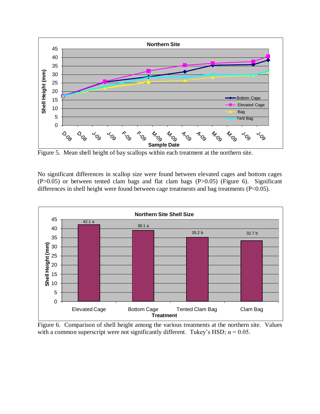

Figure 5. Mean shell height of bay scallops within each treatment at the northern site.

No significant differences in scallop size were found between elevated cages and bottom cages (P>0.05) or between tented clam bags and flat clam bags (P>0.05) (Figure 6). Significant differences in shell height were found between cage treatments and bag treatments (P<0.05).



Figure 6. Comparison of shell height among the various treatments at the northern site. Values with a common superscript were not significantly different. Tukey's HSD;  $\alpha = 0.05$ .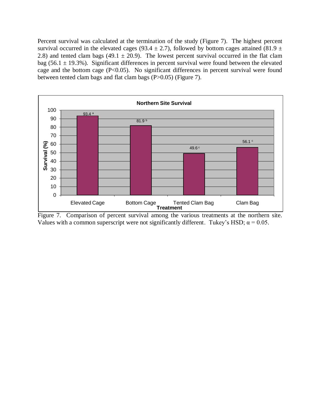Percent survival was calculated at the termination of the study (Figure 7). The highest percent survival occurred in the elevated cages (93.4  $\pm$  2.7), followed by bottom cages attained (81.9  $\pm$ 2.8) and tented clam bags (49.1  $\pm$  20.9). The lowest percent survival occurred in the flat clam bag (56.1  $\pm$  19.3%). Significant differences in percent survival were found between the elevated cage and the bottom cage  $(P<0.05)$ . No significant differences in percent survival were found between tented clam bags and flat clam bags (P>0.05) (Figure 7).



Figure 7. Comparison of percent survival among the various treatments at the northern site. Values with a common superscript were not significantly different. Tukey's HSD;  $\alpha = 0.05$ .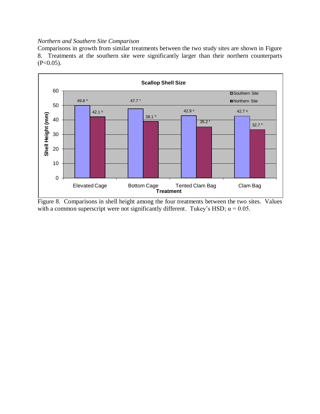#### *Northern and Southern Site Comparison*

Comparisons in growth from similar treatments between the two study sites are shown in Figure 8. Treatments at the southern site were significantly larger than their northern counterparts  $(P<0.05)$ .



Figure 8. Comparisons in shell height among the four treatments between the two sites. Values with a common superscript were not significantly different. Tukey's HSD;  $\alpha = 0.05$ .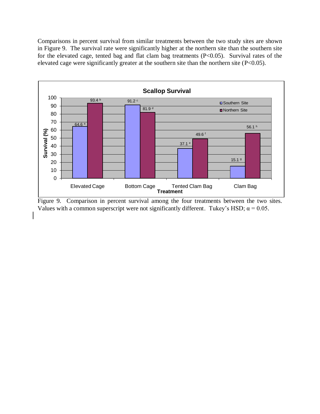Comparisons in percent survival from similar treatments between the two study sites are shown in Figure 9. The survival rate were significantly higher at the northern site than the southern site for the elevated cage, tented bag and flat clam bag treatments (P<0.05). Survival rates of the elevated cage were significantly greater at the southern site than the northern site (P<0.05).



Figure 9. Comparison in percent survival among the four treatments between the two sites. Values with a common superscript were not significantly different. Tukey's HSD;  $\alpha$  = 0.05.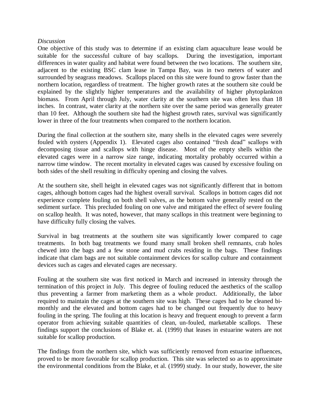#### *Discussion*

One objective of this study was to determine if an existing clam aquaculture lease would be suitable for the successful culture of bay scallops. During the investigation, important differences in water quality and habitat were found between the two locations. The southern site, adjacent to the existing BSC clam lease in Tampa Bay, was in two meters of water and surrounded by seagrass meadows. Scallops placed on this site were found to grow faster than the northern location, regardless of treatment. The higher growth rates at the southern site could be explained by the slightly higher temperatures and the availability of higher phytoplankton biomass. From April through July, water clarity at the southern site was often less than 18 inches. In contrast, water clarity at the northern site over the same period was generally greater than 10 feet. Although the southern site had the highest growth rates, survival was significantly lower in three of the four treatments when compared to the northern location.

During the final collection at the southern site, many shells in the elevated cages were severely fouled with oysters (Appendix 1). Elevated cages also contained "fresh dead" scallops with decomposing tissue and scallops with hinge disease. Most of the empty shells within the elevated cages were in a narrow size range, indicating mortality probably occurred within a narrow time window. The recent mortality in elevated cages was caused by excessive fouling on both sides of the shell resulting in difficulty opening and closing the valves.

At the southern site, shell height in elevated cages was not significantly different that in bottom cages, although bottom cages had the highest overall survival. Scallops in bottom cages did not experience complete fouling on both shell valves, as the bottom valve generally rested on the sediment surface. This precluded fouling on one valve and mitigated the effect of severe fouling on scallop health. It was noted, however, that many scallops in this treatment were beginning to have difficulty fully closing the valves.

Survival in bag treatments at the southern site was significantly lower compared to cage treatments. In both bag treatments we found many small broken shell remnants, crab holes chewed into the bags and a few stone and mud crabs residing in the bags. These findings indicate that clam bags are not suitable containment devices for scallop culture and containment devices such as cages and elevated cages are necessary.

Fouling at the southern site was first noticed in March and increased in intensity through the termination of this project in July. This degree of fouling reduced the aesthetics of the scallop thus preventing a farmer from marketing them as a whole product. Additionally, the labor required to maintain the cages at the southern site was high. These cages had to be cleaned bimonthly and the elevated and bottom cages had to be changed out frequently due to heavy fouling in the spring. The fouling at this location is heavy and frequent enough to prevent a farm operator from achieving suitable quantities of clean, un-fouled, marketable scallops. These findings support the conclusions of Blake et. al. (1999) that leases in estuarine waters are not suitable for scallop production.

The findings from the northern site, which was sufficiently removed from estuarine influences, proved to be more favorable for scallop production. This site was selected so as to approximate the environmental conditions from the Blake, et al. (1999) study. In our study, however, the site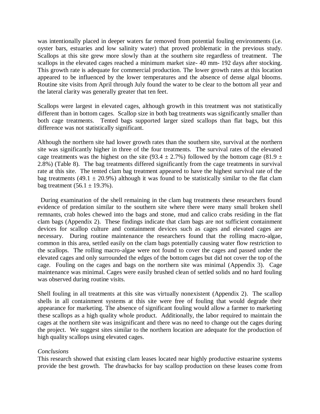was intentionally placed in deeper waters far removed from potential fouling environments (i.e. oyster bars, estuaries and low salinity water) that proved problematic in the previous study. Scallops at this site grew more slowly than at the southern site regardless of treatment. The scallops in the elevated cages reached a minimum market size- 40 mm- 192 days after stocking. This growth rate is adequate for commercial production. The lower growth rates at this location appeared to be influenced by the lower temperatures and the absence of dense algal blooms. Routine site visits from April through July found the water to be clear to the bottom all year and the lateral clarity was generally greater that ten feet.

Scallops were largest in elevated cages, although growth in this treatment was not statistically different than in bottom cages. Scallop size in both bag treatments was significantly smaller than both cage treatments. Tented bags supported larger sized scallops than flat bags, but this difference was not statistically significant.

Although the northern site had lower growth rates than the southern site, survival at the northern site was significantly higher in three of the four treatments. The survival rates of the elevated cage treatments was the highest on the site (93.4  $\pm$  2.7%) followed by the bottom cage (81.9  $\pm$ 2.8%) (Table 8). The bag treatments differed significantly from the cage treatments in survival rate at this site. The tented clam bag treatment appeared to have the highest survival rate of the bag treatments (49.1  $\pm$  20.9%) although it was found to be statistically similar to the flat clam bag treatment  $(56.1 \pm 19.3\%)$ .

 During examination of the shell remaining in the clam bag treatments these researchers found evidence of predation similar to the southern site where there were many small broken shell remnants, crab holes chewed into the bags and stone, mud and calico crabs residing in the flat clam bags (Appendix 2). These findings indicate that clam bags are not sufficient containment devices for scallop culture and containment devices such as cages and elevated cages are necessary. During routine maintenance the researchers found that the rolling macro-algae, common in this area, settled easily on the clam bags potentially causing water flow restriction to the scallops. The rolling macro-algae were not found to cover the cages and passed under the elevated cages and only surrounded the edges of the bottom cages but did not cover the top of the cage. Fouling on the cages and bags on the northern site was minimal (Appendix 3). Cage maintenance was minimal. Cages were easily brushed clean of settled solids and no hard fouling was observed during routine visits.

Shell fouling in all treatments at this site was virtually nonexistent (Appendix 2). The scallop shells in all containment systems at this site were free of fouling that would degrade their appearance for marketing. The absence of significant fouling would allow a farmer to marketing these scallops as a high quality whole product. Additionally, the labor required to maintain the cages at the northern site was insignificant and there was no need to change out the cages during the project. We suggest sites similar to the northern location are adequate for the production of high quality scallops using elevated cages.

#### *Conclusions*

This research showed that existing clam leases located near highly productive estuarine systems provide the best growth. The drawbacks for bay scallop production on these leases come from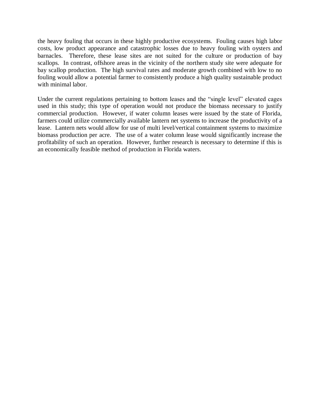the heavy fouling that occurs in these highly productive ecosystems. Fouling causes high labor costs, low product appearance and catastrophic losses due to heavy fouling with oysters and barnacles. Therefore, these lease sites are not suited for the culture or production of bay scallops. In contrast, offshore areas in the vicinity of the northern study site were adequate for bay scallop production. The high survival rates and moderate growth combined with low to no fouling would allow a potential farmer to consistently produce a high quality sustainable product with minimal labor.

Under the current regulations pertaining to bottom leases and the "single level" elevated cages used in this study; this type of operation would not produce the biomass necessary to justify commercial production. However, if water column leases were issued by the state of Florida, farmers could utilize commercially available lantern net systems to increase the productivity of a lease. Lantern nets would allow for use of multi level/vertical containment systems to maximize biomass production per acre. The use of a water column lease would significantly increase the profitability of such an operation. However, further research is necessary to determine if this is an economically feasible method of production in Florida waters.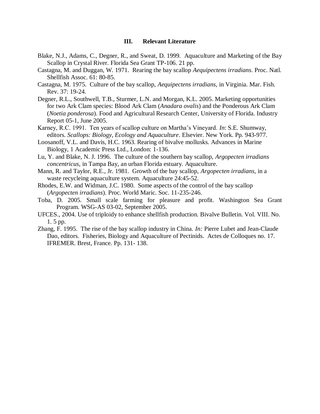#### **III. Relevant Literature**

- Blake, N.J., Adams, C., Degner, R., and Sweat, D. 1999. Aquaculture and Marketing of the Bay Scallop in Crystal River. Florida Sea Grant TP-106. 21 pp.
- Castagna, M. and Duggan, W. 1971. Rearing the bay scallop *Aequipectens irradians*. Proc. Natl. Shellfish Assoc. 61: 80-85.
- Castagna, M. 1975. Culture of the bay scallop, *Aequipectens irradians*, in Virginia. Mar. Fish. Rev. 37: 19-24.
- Degner, R.L., Southwell, T.B., Sturmer, L.N. and Morgan, K.L. 2005. Marketing opportunities for two Ark Clam species: Blood Ark Clam (*Anadara ovalis*) and the Ponderous Ark Clam (*Noetia ponderosa*). Food and Agricultural Research Center, University of Florida. Industry Report 05-1, June 2005.
- Karney, R.C. 1991. Ten years of scallop culture on Martha"s Vineyard. *In*: S.E. Shumway, editors. *Scallops: Biology, Ecology and Aquaculture*. Elsevier. New York. Pp. 943-977.
- Loosanoff, V.L. and Davis, H.C. 1963. Rearing of bivalve mollusks. Advances in Marine Biology, 1 Academic Press Ltd., London: 1-136.
- Lu, Y. and Blake, N. J. 1996. The culture of the southern bay scallop, *Argopecten irradians concentricus*, in Tampa Bay, an urban Florida estuary. Aquaculture.
- Mann, R. and Taylor, R.E., Jr. 1981. Growth of the bay scallop, *Argopecten irradians*, in a waste recycleing aquaculture system. Aquaculture 24:45-52.
- Rhodes, E.W. and Widman, J.C. 1980. Some aspects of the control of the bay scallop (*Argopecten irradians*). Proc. World Maric. Soc. 11-235-246.
- Toba, D. 2005. Small scale farming for pleasure and profit. Washington Sea Grant Program. WSG-AS 03-02, September 2005.
- UFCES., 2004. Use of triploidy to enhance shellfish production. Bivalve Bulletin. Vol. VIII. No. 1. 5 pp.
- Zhang, F. 1995. The rise of the bay scallop industry in China. *In:* Pierre Lubet and Jean-Claude Dao, editors. Fisheries, Biology and Aquaculture of Pectinids. Actes de Colloques no. 17. IFREMER. Brest, France. Pp. 131- 138.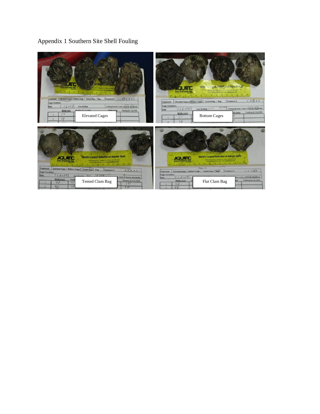### Appendix 1 Southern Site Shell Fouling

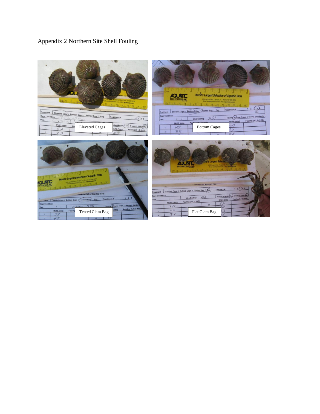## Appendix 2 Northern Site Shell Fouling

| Apopka, FL - Phone: 407-886-3939-<br>bes@aguatosco.com - Witz aquaticeco.com                                                                                                                                                                                                          | World's Largest Selection of Aquatic Tools<br><b>ECO-SYSTEMS.INC</b><br>2395 Apopia Blvd. - Apopia, R. - Phone: 407-696-3000<br>Final: aesthquatceco.com - Web: aquaticeco.com                                                                                                                             |
|---------------------------------------------------------------------------------------------------------------------------------------------------------------------------------------------------------------------------------------------------------------------------------------|------------------------------------------------------------------------------------------------------------------------------------------------------------------------------------------------------------------------------------------------------------------------------------------------------------|
| Treatment<br>Elevated Cage / Bottom Cage / Tented Bag / Bag<br>Cage Condition:<br>Treatment #<br>12(3)45<br>opn<br>Date<br>1 C I<br>Width (mm)<br>iling (0-none 1-low) 2- heavy) (hard/soft)<br><b>Elevated Cages</b><br>Fo<br>42<br>/idth (mm)<br>Fouling (0,1,2) (H/S)<br>4.3<br>27 | 34<br>Treatment #<br>Elevated Cage / Bottom Cage / Tented Bag / Bag<br>Ĝ.<br>Treatment<br>Cage Condition:<br>Fouling (0-none, 1-low, 2- heavy) (hard/soft)<br>251<br><b>Live Scallop</b><br>Date<br>Fouling (0,1,2) (H/S)<br>Width (mm)<br>Width (mm)<br>38<br><b>Bottom Cages</b><br>40<br>33<br>38<br>36 |
| World's Largest Selection of Aquatic Tools<br>(2005) Aposton (Stat) + Aposton, FL, + Phone: 4027-2003<br>Ethiol: and businesses com + Vivito: apparticulation<br>CO-SYSTEMS.IN                                                                                                        | arnest Sel<br><b>CO-SYSTEMS, INC</b><br><b>HANGERY SCALLOD Site</b><br>12(3)45<br>Treatment #<br>Elevated Cage / Bottom Cage / Tented Bag / 6ag)<br>transform                                                                                                                                              |

|                                                                                                                                              | <b>ECO-SYSTEMS.INC</b><br>Final and apatraco con - Well aquitical good                                                         |
|----------------------------------------------------------------------------------------------------------------------------------------------|--------------------------------------------------------------------------------------------------------------------------------|
| World's Largest Selection of Aquatic Tools<br><b>EXPERIENCE LADDER R. Phone: 457-666-2676</b><br>firmi and aquitant con close aquaticaco.com |                                                                                                                                |
| SYSTEMS.INC                                                                                                                                  | 12(3)45<br>Treatment#<br>Elevated Cage / Bottom Cage / Tented Bag / 6ag)<br><b>Treatment</b>                                   |
| --- assnowitzka Scallop Site<br>3 (L<br>Treatment #<br>Elevated Cage / Bottom Cage / Tented Bag / Bag                                        | Fouling (0-none, (1-low, 2- heavy) (hardlaph)<br><b>Cage Condition:</b><br>Live Scallop<br>Fouling (0,1,2) (H/S)<br>Width (mm) |
| <b>Cage Condition:</b><br>Fouling (ginone, 1-low, 2- heavy) (hard/so<br><b>Live Scallon</b><br>Dato<br>Fouling (0,1,2) (H/S)                 | Fouling (0,1,2) (H/S)<br>Width (mm)<br>26<br>30                                                                                |
| Width (mm)<br>Fouling<br>Tented Clam Bag<br>38                                                                                               | 26<br>Flat Clam Bag                                                                                                            |
| 40                                                                                                                                           |                                                                                                                                |